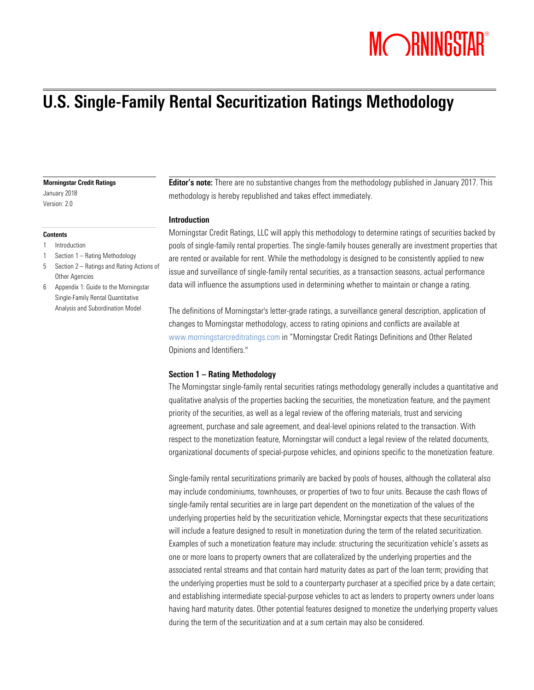# MORNINGSTAR®

## U.S. Single-Family Rental Securitization Ratings Methodology

#### Morningstar Credit Ratings

January 2018 Version: 2.0

#### **Contents**

- 1 Introduction
- 1 Section 1 Rating Methodology
- 5 Section 2 Ratings and Rating Actions of Other Agencies
- 6 Appendix 1: Guide to the Morningstar Single-Family Rental Quantitative Analysis and Subordination Model

**Editor's note:** There are no substantive changes from the methodology published in January 2017. This methodology is hereby republished and takes effect immediately.

#### Introduction

Morningstar Credit Ratings, LLC will apply this methodology to determine ratings of securities backed by pools of single-family rental properties. The single-family houses generally are investment properties that are rented or available for rent. While the methodology is designed to be consistently applied to new issue and surveillance of single-family rental securities, as a transaction seasons, actual performance data will influence the assumptions used in determining whether to maintain or change a rating.

The definitions of Morningstar's letter-grade ratings, a surveillance general description, application of changes to Morningstar methodology, access to rating opinions and conflicts are available at [www.morningstarcreditratings.com](http://www.morningstarcreditratings.com/) in "Morningstar Credit Ratings Definitions and Other Related Opinions and Identifiers."

#### Section 1 – Rating Methodology

The Morningstar single-family rental securities ratings methodology generally includes a quantitative and qualitative analysis of the properties backing the securities, the monetization feature, and the payment priority of the securities, as well as a legal review of the offering materials, trust and servicing agreement, purchase and sale agreement, and deal-level opinions related to the transaction. With respect to the monetization feature, Morningstar will conduct a legal review of the related documents, organizational documents of special-purpose vehicles, and opinions specific to the monetization feature.

Single-family rental securitizations primarily are backed by pools of houses, although the collateral also may include condominiums, townhouses, or properties of two to four units. Because the cash flows of single-family rental securities are in large part dependent on the monetization of the values of the underlying properties held by the securitization vehicle, Morningstar expects that these securitizations will include a feature designed to result in monetization during the term of the related securitization. Examples of such a monetization feature may include: structuring the securitization vehicle's assets as one or more loans to property owners that are collateralized by the underlying properties and the associated rental streams and that contain hard maturity dates as part of the loan term; providing that the underlying properties must be sold to a counterparty purchaser at a specified price by a date certain; and establishing intermediate special-purpose vehicles to act as lenders to property owners under loans having hard maturity dates. Other potential features designed to monetize the underlying property values during the term of the securitization and at a sum certain may also be considered.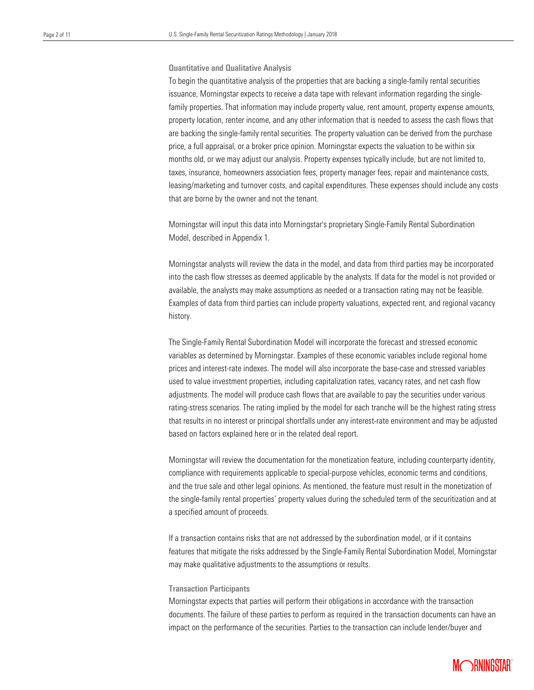#### Quantitative and Qualitative Analysis

is begin the quantitative analysis of the preperties that are bushing a single-talling rental essenties<br>issuance, Morningstar expects to receive a data tape with relevant information regarding the single- family properties. That information may include property value, rent amount, property expense amounts, property location, renter income, and any other information that is needed to assess the cash flows that price, a full appraisal, or a broker price opinion. Morningstar expects the valuation to be within six months old, or we may adjust our analysis. Property expenses typically include, but are not limited to, To begin the quantitative analysis of the properties that are backing a single-family rental securities are backing the single-family rental securities. The property valuation can be derived from the purchase taxes, insurance, homeowners association fees, property manager fees, repair and maintenance costs, leasing/marketing and turnover costs, and capital expenditures. These expenses should include any costs that are borne by the owner and not the tenant.

Morningstar will input this data into Morningstar's proprietary Single-Family Rental Subordination Model, described in Appendix 1.

Morningstar analysts will review the data in the model, and data from third parties may be incorporated into the cash flow stresses as deemed applicable by the analysts. If data for the model is not provided or available, the analysts may make assumptions as needed or a transaction rating may not be feasible. Examples of data from third parties can include property valuations, expected rent, and regional vacancy history.

The Single-Family Rental Subordination Model will incorporate the forecast and stressed economic variables as determined by Morningstar. Examples of these economic variables include regional home prices and interest-rate indexes. The model will also incorporate the base-case and stressed variables used to value investment properties, including capitalization rates, vacancy rates, and net cash flow adjustments. The model will produce cash flows that are available to pay the securities under various rating-stress scenarios. The rating implied by the model for each tranche will be the highest rating stress that results in no interest or principal shortfalls under any interest-rate environment and may be adjusted based on factors explained here or in the related deal report.

Morningstar will review the documentation for the monetization feature, including counterparty identity, compliance with requirements applicable to special-purpose vehicles, economic terms and conditions, and the true sale and other legal opinions. As mentioned, the feature must result in the monetization of the single-family rental properties' property values during the scheduled term of the securitization and at a specified amount of proceeds.

If a transaction contains risks that are not addressed by the subordination model, or if it contains features that mitigate the risks addressed by the Single-Family Rental Subordination Model, Morningstar may make qualitative adjustments to the assumptions or results.

#### Transaction Participants

Morningstar expects that parties will perform their obligations in accordance with the transaction documents. The failure of these parties to perform as required in the transaction documents can have an impact on the performance of the securities. Parties to the transaction can include lender/buyer and

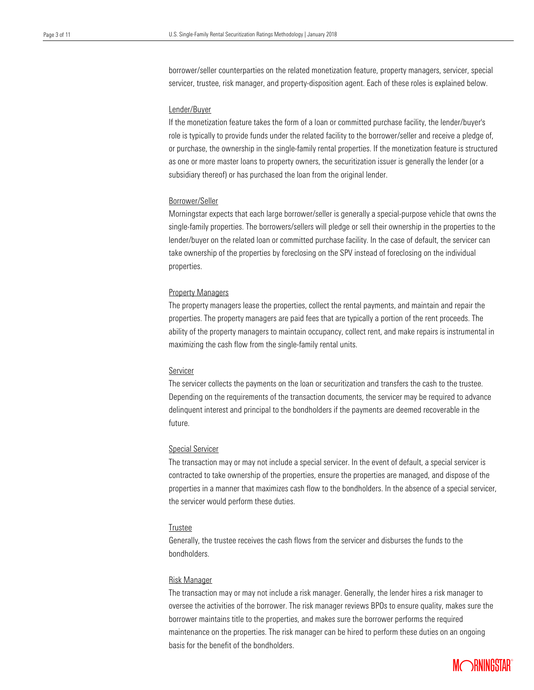borrower/seller counterparties on the related monetization feature, property managers, servicer, special servicer, trustee, risk manager, and property-disposition agent. Each of these roles is explained below.

### Lender/Buyer

 If the monetization feature takes the form of a loan or committed purchase facility, the lender/buyer's role is typically to provide funds under the related facility to the borrower/seller and receive a pledge of, as one or more master loans to property owners, the securitization issuer is generally the lender (or a or purchase, the ownership in the single-family rental properties. If the monetization feature is structured subsidiary thereof) or has purchased the loan from the original lender.

#### Borrower/Seller

Morningstar expects that each large borrower/seller is generally a special-purpose vehicle that owns the single-family properties. The borrowers/sellers will pledge or sell their ownership in the properties to the lender/buyer on the related loan or committed purchase facility. In the case of default, the servicer can take ownership of the properties by foreclosing on the SPV instead of foreclosing on the individual properties.

#### Property Managers

The property managers lease the properties, collect the rental payments, and maintain and repair the properties. The property managers are paid fees that are typically a portion of the rent proceeds. The ability of the property managers to maintain occupancy, collect rent, and make repairs is instrumental in maximizing the cash flow from the single-family rental units.

#### Servicer

The servicer collects the payments on the loan or securitization and transfers the cash to the trustee. Depending on the requirements of the transaction documents, the servicer may be required to advance delinquent interest and principal to the bondholders if the payments are deemed recoverable in the future.

#### Special Servicer

The transaction may or may not include a special servicer. In the event of default, a special servicer is contracted to take ownership of the properties, ensure the properties are managed, and dispose of the properties in a manner that maximizes cash flow to the bondholders. In the absence of a special servicer, the servicer would perform these duties.

#### Trustee

Generally, the trustee receives the cash flows from the servicer and disburses the funds to the bondholders.

#### Risk Manager

The transaction may or may not include a risk manager. Generally, the lender hires a risk manager to oversee the activities of the borrower. The risk manager reviews BPOs to ensure quality, makes sure the borrower maintains title to the properties, and makes sure the borrower performs the required maintenance on the properties. The risk manager can be hired to perform these duties on an ongoing basis for the benefit of the bondholders.

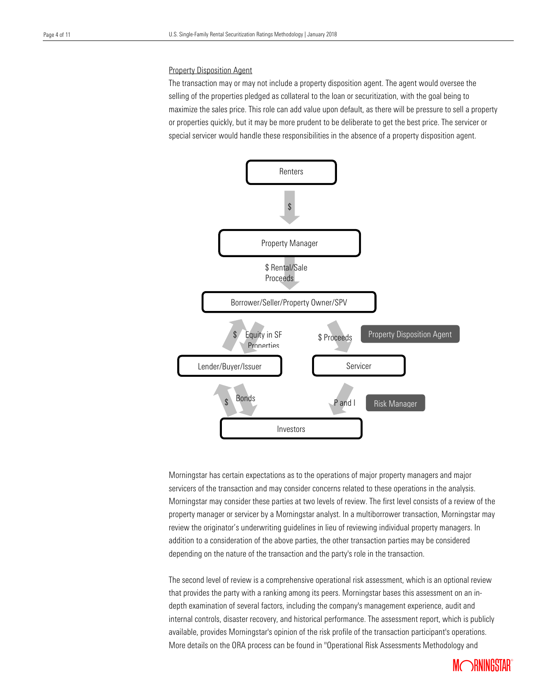#### **Property Disposition Agent**

 The transaction may or may not include a property disposition agent. The agent would oversee the maximize the sales price. This role can add value upon default, as there will be pressure to sell a property or properties quickly, but it may be more prudent to be deliberate to get the best price. The servicer or special servicer would handle these responsibilities in the absence of a property disposition agent. selling of the properties pledged as collateral to the loan or securitization, with the goal being to



Morningstar has certain expectations as to the operations of major property managers and major servicers of the transaction and may consider concerns related to these operations in the analysis. Morningstar may consider these parties at two levels of review. The first level consists of a review of the property manager or servicer by a Morningstar analyst. In a multiborrower transaction, Morningstar may review the originator's underwriting guidelines in lieu of reviewing individual property managers. In addition to a consideration of the above parties, the other transaction parties may be considered depending on the nature of the transaction and the party's role in the transaction.

The second level of review is a comprehensive operational risk assessment, which is an optional review that provides the party with a ranking among its peers. Morningstar bases this assessment on an indepth examination of several factors, including the company's management experience, audit and internal controls, disaster recovery, and historical performance. The assessment report, which is publicly available, provides Morningstar's opinion of the risk profile of the transaction participant's operations. More details on the ORA process can be found in "Operational Risk Assessments Methodology and

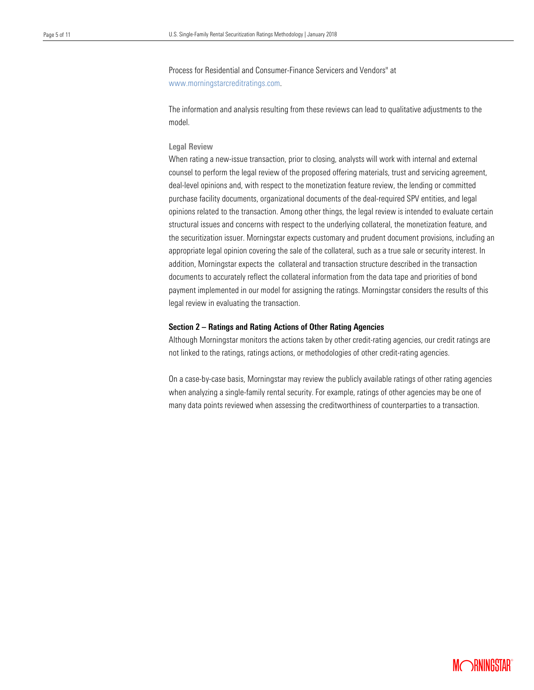Process for Residential and Consumer-Finance Servicers and Vendors" at [www.morningstarcreditratings.com.](http://www.morningstarcreditratings.com/)

 The information and analysis resulting from these reviews can lead to qualitative adjustments to the model.

### Legal Review

 When rating a new-issue transaction, prior to closing, analysts will work with internal and external counsel to perform the legal review of the proposed offering materials, trust and servicing agreement, deal-level opinions and, with respect to the monetization feature review, the lending or committed purchase facility documents, organizational documents of the deal-required SPV entities, and legal opinions related to the transaction. Among other things, the legal review is intended to evaluate certain structural issues and concerns with respect to the underlying collateral, the monetization feature, and the securitization issuer. Morningstar expects customary and prudent document provisions, including an appropriate legal opinion covering the sale of the collateral, such as a true sale or security interest. In addition, Morningstar expects the collateral and transaction structure described in the transaction documents to accurately reflect the collateral information from the data tape and priorities of bond payment implemented in our model for assigning the ratings. Morningstar considers the results of this legal review in evaluating the transaction.

#### Section 2 – Ratings and Rating Actions of Other Rating Agencies

Although Morningstar monitors the actions taken by other credit-rating agencies, our credit ratings are not linked to the ratings, ratings actions, or methodologies of other credit-rating agencies.

On a case-by-case basis, Morningstar may review the publicly available ratings of other rating agencies when analyzing a single-family rental security. For example, ratings of other agencies may be one of many data points reviewed when assessing the creditworthiness of counterparties to a transaction.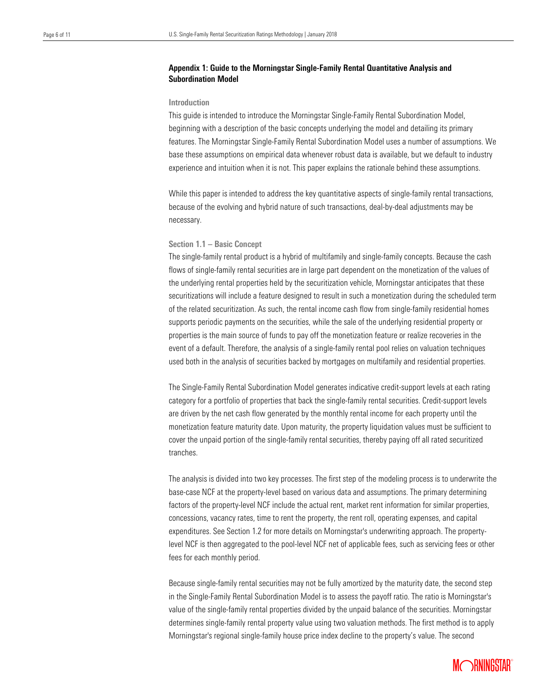#### Appendix 1: Guide to the Morningstar Single-Family Rental Quantitative Analysis and Subordination Model

#### Introduction

 beginning with a description of the basic concepts underlying the model and detailing its primary features. The Morningstar Single-Family Rental Subordination Model uses a number of assumptions. We base these assumptions on empirical data whenever robust data is available, but we default to industry This guide is intended to introduce the Morningstar Single-Family Rental Subordination Model, experience and intuition when it is not. This paper explains the rationale behind these assumptions.

While this paper is intended to address the key quantitative aspects of single-family rental transactions, because of the evolving and hybrid nature of such transactions, deal-by-deal adjustments may be necessary.

#### Section 1.1 – Basic Concept

The single-family rental product is a hybrid of multifamily and single-family concepts. Because the cash flows of single-family rental securities are in large part dependent on the monetization of the values of the underlying rental properties held by the securitization vehicle, Morningstar anticipates that these securitizations will include a feature designed to result in such a monetization during the scheduled term of the related securitization. As such, the rental income cash flow from single-family residential homes supports periodic payments on the securities, while the sale of the underlying residential property or properties is the main source of funds to pay off the monetization feature or realize recoveries in the event of a default. Therefore, the analysis of a single-family rental pool relies on valuation techniques used both in the analysis of securities backed by mortgages on multifamily and residential properties.

The Single-Family Rental Subordination Model generates indicative credit-support levels at each rating category for a portfolio of properties that back the single-family rental securities. Credit-support levels are driven by the net cash flow generated by the monthly rental income for each property until the monetization feature maturity date. Upon maturity, the property liquidation values must be sufficient to cover the unpaid portion of the single-family rental securities, thereby paying off all rated securitized tranches.

The analysis is divided into two key processes. The first step of the modeling process is to underwrite the base-case NCF at the property-level based on various data and assumptions. The primary determining factors of the property-level NCF include the actual rent, market rent information for similar properties, concessions, vacancy rates, time to rent the property, the rent roll, operating expenses, and capital expenditures. See Section 1.2 for more details on Morningstar's underwriting approach. The propertylevel NCF is then aggregated to the pool-level NCF net of applicable fees, such as servicing fees or other fees for each monthly period.

Because single-family rental securities may not be fully amortized by the maturity date, the second step in the Single-Family Rental Subordination Model is to assess the payoff ratio. The ratio is Morningstar's value of the single-family rental properties divided by the unpaid balance of the securities. Morningstar determines single-family rental property value using two valuation methods. The first method is to apply Morningstar's regional single-family house price index decline to the property's value. The second

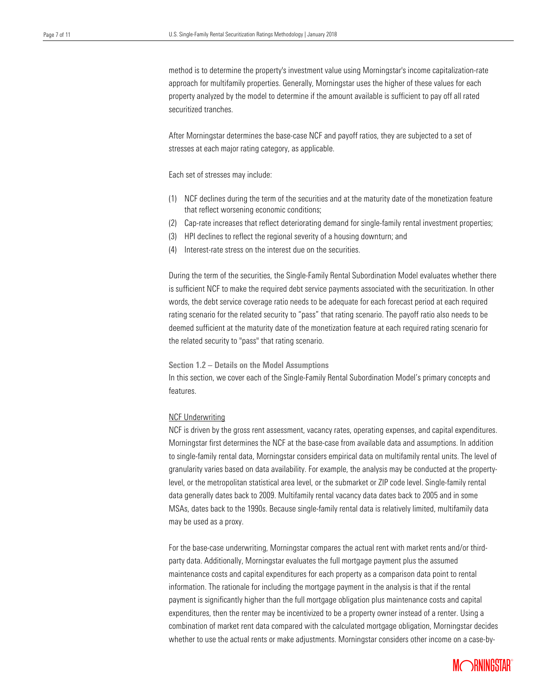method is to determine the property's investment value using Morningstar's income capitalization-rate approach for multifamily properties. Generally, Morningstar uses the higher of these values for each securitized tranches. property analyzed by the model to determine if the amount available is sufficient to pay off all rated

 After Morningstar determines the base-case NCF and payoff ratios, they are subjected to a set of stresses at each major rating category, as applicable.

Each set of stresses may include:

- (1) NCF declines during the term of the securities and at the maturity date of the monetization feature that reflect worsening economic conditions;
- (2) Cap-rate increases that reflect deteriorating demand for single-family rental investment properties;
- (3) HPI declines to reflect the regional severity of a housing downturn; and
- (4) Interest-rate stress on the interest due on the securities.

During the term of the securities, the Single-Family Rental Subordination Model evaluates whether there is sufficient NCF to make the required debt service payments associated with the securitization. In other words, the debt service coverage ratio needs to be adequate for each forecast period at each required rating scenario for the related security to "pass" that rating scenario. The payoff ratio also needs to be deemed sufficient at the maturity date of the monetization feature at each required rating scenario for the related security to "pass" that rating scenario.

Section 1.2 – Details on the Model Assumptions

In this section, we cover each of the Single-Family Rental Subordination Model's primary concepts and features.

#### NCF Underwriting

NCF is driven by the gross rent assessment, vacancy rates, operating expenses, and capital expenditures. Morningstar first determines the NCF at the base-case from available data and assumptions. In addition to single-family rental data, Morningstar considers empirical data on multifamily rental units. The level of granularity varies based on data availability. For example, the analysis may be conducted at the propertylevel, or the metropolitan statistical area level, or the submarket or ZIP code level. Single-family rental data generally dates back to 2009. Multifamily rental vacancy data dates back to 2005 and in some MSAs, dates back to the 1990s. Because single-family rental data is relatively limited, multifamily data may be used as a proxy.

For the base-case underwriting, Morningstar compares the actual rent with market rents and/or thirdparty data. Additionally, Morningstar evaluates the full mortgage payment plus the assumed maintenance costs and capital expenditures for each property as a comparison data point to rental information. The rationale for including the mortgage payment in the analysis is that if the rental payment is significantly higher than the full mortgage obligation plus maintenance costs and capital expenditures, then the renter may be incentivized to be a property owner instead of a renter. Using a combination of market rent data compared with the calculated mortgage obligation, Morningstar decides whether to use the actual rents or make adjustments. Morningstar considers other income on a case-by-

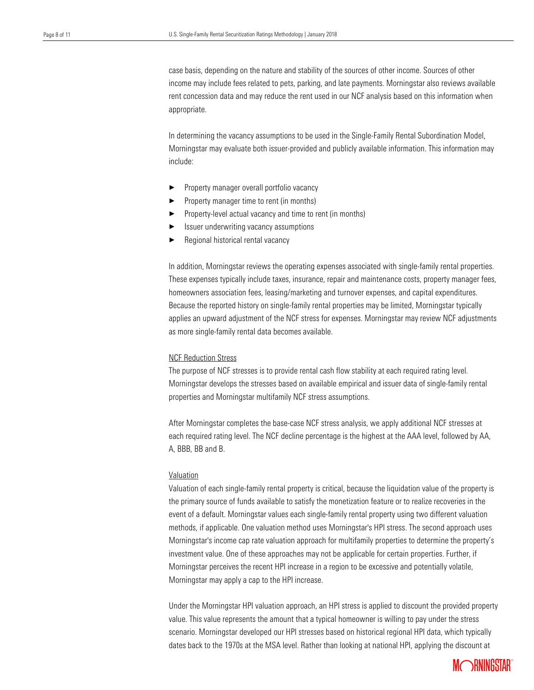case basis, depending on the nature and stability of the sources of other income. Sources of other income may include fees related to pets, parking, and late payments. Morningstar also reviews available appropriate. rent concession data and may reduce the rent used in our NCF analysis based on this information when

 In determining the vacancy assumptions to be used in the Single-Family Rental Subordination Model, Morningstar may evaluate both issuer-provided and publicly available information. This information may include:

- ▶ Property manager overall portfolio vacancy
- ▶ Property manager time to rent (in months)
- Property-level actual vacancy and time to rent (in months)
- $\blacktriangleright$  Issuer underwriting vacancy assumptions
- Regional historical rental vacancy

In addition, Morningstar reviews the operating expenses associated with single-family rental properties. These expenses typically include taxes, insurance, repair and maintenance costs, property manager fees, homeowners association fees, leasing/marketing and turnover expenses, and capital expenditures. Because the reported history on single-family rental properties may be limited, Morningstar typically applies an upward adjustment of the NCF stress for expenses. Morningstar may review NCF adjustments as more single-family rental data becomes available.

#### NCF Reduction Stress

The purpose of NCF stresses is to provide rental cash flow stability at each required rating level. Morningstar develops the stresses based on available empirical and issuer data of single-family rental properties and Morningstar multifamily NCF stress assumptions.

After Morningstar completes the base-case NCF stress analysis, we apply additional NCF stresses at each required rating level. The NCF decline percentage is the highest at the AAA level, followed by AA, A, BBB, BB and B.

#### Valuation

Valuation of each single-family rental property is critical, because the liquidation value of the property is the primary source of funds available to satisfy the monetization feature or to realize recoveries in the event of a default. Morningstar values each single-family rental property using two different valuation methods, if applicable. One valuation method uses Morningstar's HPI stress. The second approach uses Morningstar's income cap rate valuation approach for multifamily properties to determine the property's investment value. One of these approaches may not be applicable for certain properties. Further, if Morningstar perceives the recent HPI increase in a region to be excessive and potentially volatile, Morningstar may apply a cap to the HPI increase.

Under the Morningstar HPI valuation approach, an HPI stress is applied to discount the provided property value. This value represents the amount that a typical homeowner is willing to pay under the stress scenario. Morningstar developed our HPI stresses based on historical regional HPI data, which typically dates back to the 1970s at the MSA level. Rather than looking at national HPI, applying the discount at

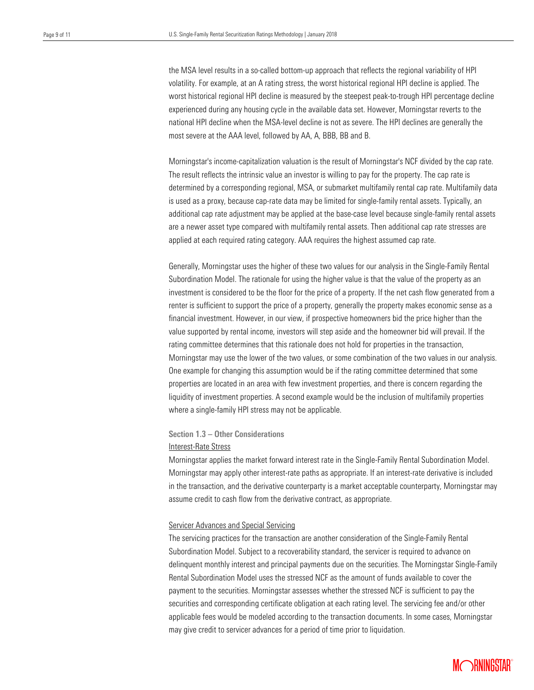the MSA level results in a so-called bottom-up approach that reflects the regional variability of HPI volatility. For example, at an A rating stress, the worst historical regional HPI decline is applied. The experienced during any housing cycle in the available data set. However, Morningstar reverts to the national HPI decline when the MSA-level decline is not as severe. The HPI declines are generally the most severe at the AAA level, followed by AA, A, BBB, BB and B. worst historical regional HPI decline is measured by the steepest peak-to-trough HPI percentage decline

 Morningstar's income-capitalization valuation is the result of Morningstar's NCF divided by the cap rate. The result reflects the intrinsic value an investor is willing to pay for the property. The cap rate is determined by a corresponding regional, MSA, or submarket multifamily rental cap rate. Multifamily data is used as a proxy, because cap-rate data may be limited for single-family rental assets. Typically, an additional cap rate adjustment may be applied at the base-case level because single-family rental assets are a newer asset type compared with multifamily rental assets. Then additional cap rate stresses are applied at each required rating category. AAA requires the highest assumed cap rate.

Generally, Morningstar uses the higher of these two values for our analysis in the Single-Family Rental Subordination Model. The rationale for using the higher value is that the value of the property as an investment is considered to be the floor for the price of a property. If the net cash flow generated from a renter is sufficient to support the price of a property, generally the property makes economic sense as a financial investment. However, in our view, if prospective homeowners bid the price higher than the value supported by rental income, investors will step aside and the homeowner bid will prevail. If the rating committee determines that this rationale does not hold for properties in the transaction, Morningstar may use the lower of the two values, or some combination of the two values in our analysis. One example for changing this assumption would be if the rating committee determined that some properties are located in an area with few investment properties, and there is concern regarding the liquidity of investment properties. A second example would be the inclusion of multifamily properties where a single-family HPI stress may not be applicable.

#### Section 1.3 – Other Considerations

#### Interest-Rate Stress

Morningstar applies the market forward interest rate in the Single-Family Rental Subordination Model. Morningstar may apply other interest-rate paths as appropriate. If an interest-rate derivative is included in the transaction, and the derivative counterparty is a market acceptable counterparty, Morningstar may assume credit to cash flow from the derivative contract, as appropriate.

#### Servicer Advances and Special Servicing

The servicing practices for the transaction are another consideration of the Single-Family Rental Subordination Model. Subject to a recoverability standard, the servicer is required to advance on delinquent monthly interest and principal payments due on the securities. The Morningstar Single-Family Rental Subordination Model uses the stressed NCF as the amount of funds available to cover the payment to the securities. Morningstar assesses whether the stressed NCF is sufficient to pay the securities and corresponding certificate obligation at each rating level. The servicing fee and/or other applicable fees would be modeled according to the transaction documents. In some cases, Morningstar may give credit to servicer advances for a period of time prior to liquidation.

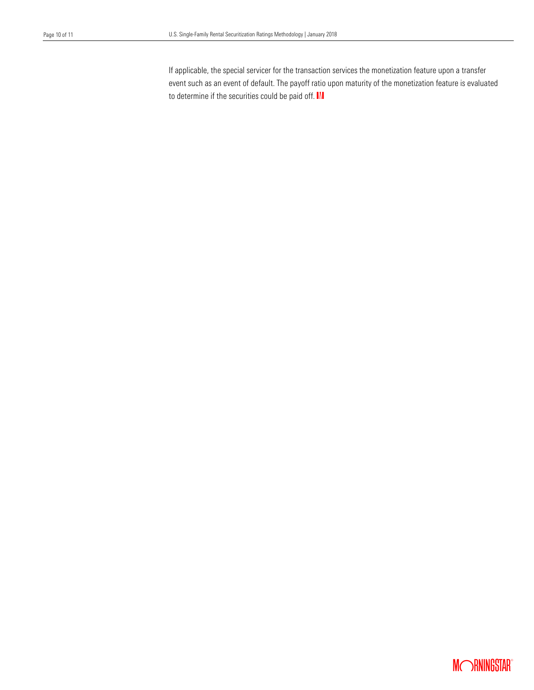If applicable, the special servicer for the transaction services the monetization feature upon a transfer event such as an event of default. The payoff ratio upon maturity of the monetization feature is evaluated to determine if the securities could be paid off.  $\blacksquare$